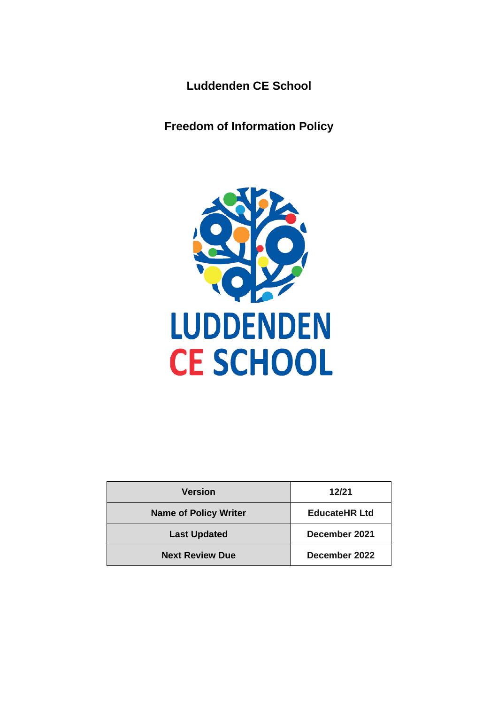**Luddenden CE School**

**Freedom of Information Policy**



| <b>Version</b>               | 12/21                |
|------------------------------|----------------------|
| <b>Name of Policy Writer</b> | <b>EducateHR Ltd</b> |
| <b>Last Updated</b>          | December 2021        |
| <b>Next Review Due</b>       | December 2022        |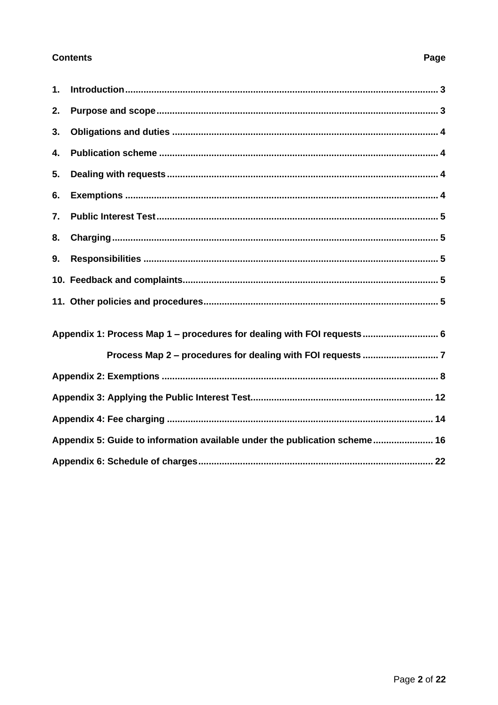## **Contents**

# <span id="page-1-0"></span> $\mathbf{1}$ .  $2.$  $3.$  $\mathbf{A}$  $5<sub>1</sub>$ 6.  $\overline{7}$ 8. 9. Appendix 1: Process Map 1 – procedures for dealing with FOI requests................................ 6 Appendix 5: Guide to information available under the publication scheme....................... 16

## Page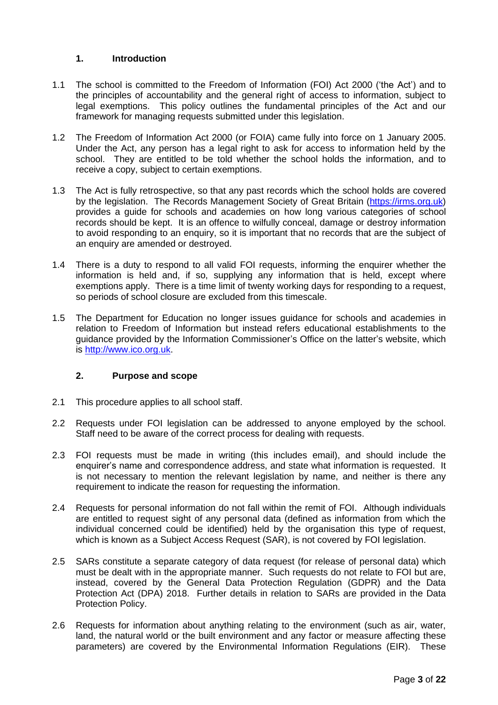## **1. Introduction**

- 1.1 The school is committed to the Freedom of Information (FOI) Act 2000 ('the Act') and to the principles of accountability and the general right of access to information, subject to legal exemptions. This policy outlines the fundamental principles of the Act and our framework for managing requests submitted under this legislation.
- 1.2 The Freedom of Information Act 2000 (or FOIA) came fully into force on 1 January 2005. Under the Act, any person has a legal right to ask for access to information held by the school. They are entitled to be told whether the school holds the information, and to receive a copy, subject to certain exemptions.
- 1.3 The Act is fully retrospective, so that any past records which the school holds are covered by the legislation. The Records Management Society of Great Britain [\(https://irms.org.uk\)](https://irms.org.uk/) provides a guide for schools and academies on how long various categories of school records should be kept. It is an offence to wilfully conceal, damage or destroy information to avoid responding to an enquiry, so it is important that no records that are the subject of an enquiry are amended or destroyed.
- 1.4 There is a duty to respond to all valid FOI requests, informing the enquirer whether the information is held and, if so, supplying any information that is held, except where exemptions apply. There is a time limit of twenty working days for responding to a request, so periods of school closure are excluded from this timescale.
- 1.5 The Department for Education no longer issues guidance for schools and academies in relation to Freedom of Information but instead refers educational establishments to the guidance provided by the Information Commissioner's Office on the latter's website, which is [http://www.ico.org.uk.](http://www.ico.org.uk/)

## <span id="page-2-0"></span>**2. Purpose and scope**

- 2.1 This procedure applies to all school staff.
- 2.2 Requests under FOI legislation can be addressed to anyone employed by the school. Staff need to be aware of the correct process for dealing with requests.
- 2.3 FOI requests must be made in writing (this includes email), and should include the enquirer's name and correspondence address, and state what information is requested. It is not necessary to mention the relevant legislation by name, and neither is there any requirement to indicate the reason for requesting the information.
- 2.4 Requests for personal information do not fall within the remit of FOI. Although individuals are entitled to request sight of any personal data (defined as information from which the individual concerned could be identified) held by the organisation this type of request, which is known as a Subject Access Request (SAR), is not covered by FOI legislation.
- 2.5 SARs constitute a separate category of data request (for release of personal data) which must be dealt with in the appropriate manner. Such requests do not relate to FOI but are, instead, covered by the General Data Protection Regulation (GDPR) and the Data Protection Act (DPA) 2018. Further details in relation to SARs are provided in the Data Protection Policy.
- 2.6 Requests for information about anything relating to the environment (such as air, water, land, the natural world or the built environment and any factor or measure affecting these parameters) are covered by the Environmental Information Regulations (EIR). These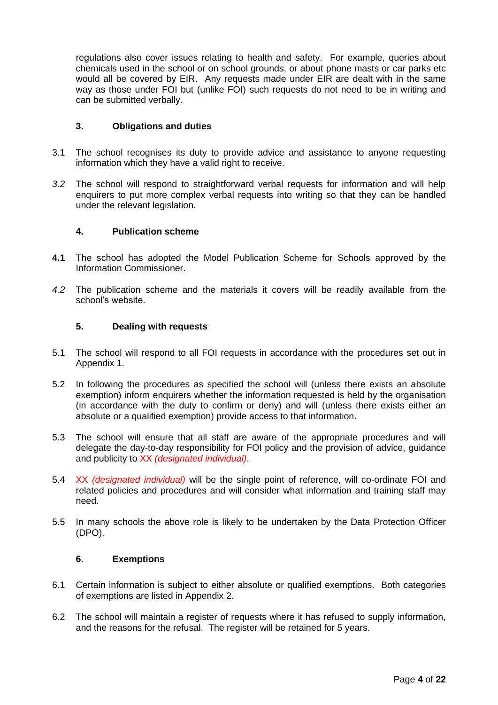regulations also cover issues relating to health and safety. For example, queries about chemicals used in the school or on school grounds, or about phone masts or car parks etc would all be covered by EIR. Any requests made under EIR are dealt with in the same way as those under FOI but (unlike FOI) such requests do not need to be in writing and can be submitted verbally.

#### <span id="page-3-0"></span>**3. Obligations and duties**

- 3.1 The school recognises its duty to provide advice and assistance to anyone requesting information which they have a valid right to receive.
- *3.2* The school will respond to straightforward verbal requests for information and will help enquirers to put more complex verbal requests into writing so that they can be handled under the relevant legislation*.*

#### <span id="page-3-1"></span>**4. Publication scheme**

- **4.1** The school has adopted the Model Publication Scheme for Schools approved by the Information Commissioner.
- *4.2* The publication scheme and the materials it covers will be readily available from the school's website.

#### <span id="page-3-2"></span>**5. Dealing with requests**

- 5.1 The school will respond to all FOI requests in accordance with the procedures set out in Appendix 1.
- 5.2 In following the procedures as specified the school will (unless there exists an absolute exemption) inform enquirers whether the information requested is held by the organisation (in accordance with the duty to confirm or deny) and will (unless there exists either an absolute or a qualified exemption) provide access to that information.
- 5.3 The school will ensure that all staff are aware of the appropriate procedures and will delegate the day-to-day responsibility for FOI policy and the provision of advice, guidance and publicity to XX *(designated individual)*.
- 5.4 XX *(designated individual)* will be the single point of reference, will co-ordinate FOI and related policies and procedures and will consider what information and training staff may need.
- 5.5 In many schools the above role is likely to be undertaken by the Data Protection Officer (DPO).

#### <span id="page-3-3"></span>**6. Exemptions**

- 6.1 Certain information is subject to either absolute or qualified exemptions. Both categories of exemptions are listed in Appendix 2.
- 6.2 The school will maintain a register of requests where it has refused to supply information, and the reasons for the refusal. The register will be retained for 5 years.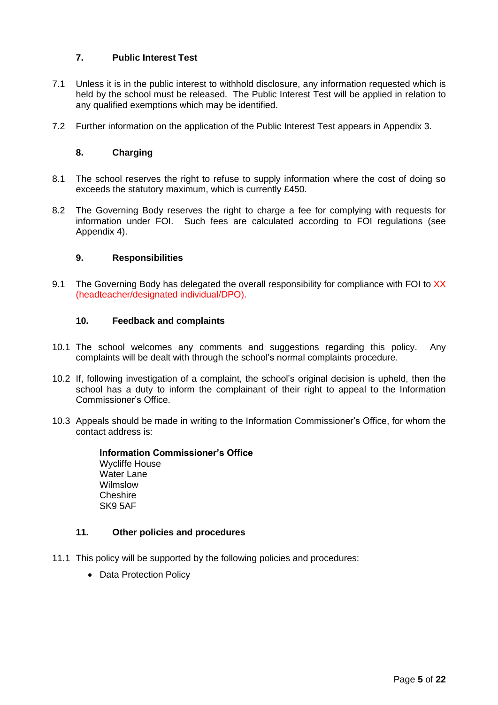## <span id="page-4-0"></span>**7. Public Interest Test**

- 7.1 Unless it is in the public interest to withhold disclosure, any information requested which is held by the school must be released. The Public Interest Test will be applied in relation to any qualified exemptions which may be identified.
- <span id="page-4-1"></span>7.2 Further information on the application of the Public Interest Test appears in Appendix 3.

## **8. Charging**

- 8.1 The school reserves the right to refuse to supply information where the cost of doing so exceeds the statutory maximum, which is currently £450.
- 8.2 The Governing Body reserves the right to charge a fee for complying with requests for information under FOI. Such fees are calculated according to FOI regulations (see Appendix 4).

## <span id="page-4-2"></span>**9. Responsibilities**

9.1 The Governing Body has delegated the overall responsibility for compliance with FOI to XX (headteacher/designated individual/DPO).

#### <span id="page-4-3"></span>**10. Feedback and complaints**

- 10.1 The school welcomes any comments and suggestions regarding this policy. Any complaints will be dealt with through the school's normal complaints procedure.
- 10.2 If, following investigation of a complaint, the school's original decision is upheld, then the school has a duty to inform the complainant of their right to appeal to the Information Commissioner's Office.
- 10.3 Appeals should be made in writing to the Information Commissioner's Office, for whom the contact address is:

**Information Commissioner's Office** Wycliffe House Water Lane Wilmslow **Cheshire** SK9 5AF

## <span id="page-4-4"></span>**11. Other policies and procedures**

- 11.1 This policy will be supported by the following policies and procedures:
	- Data Protection Policy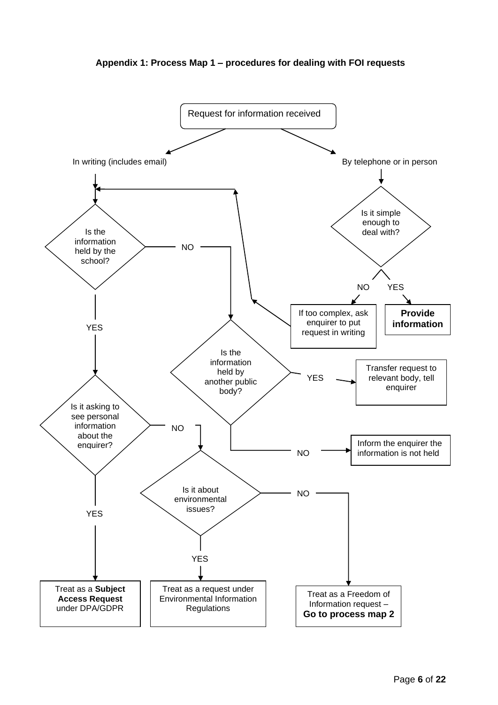<span id="page-5-0"></span>

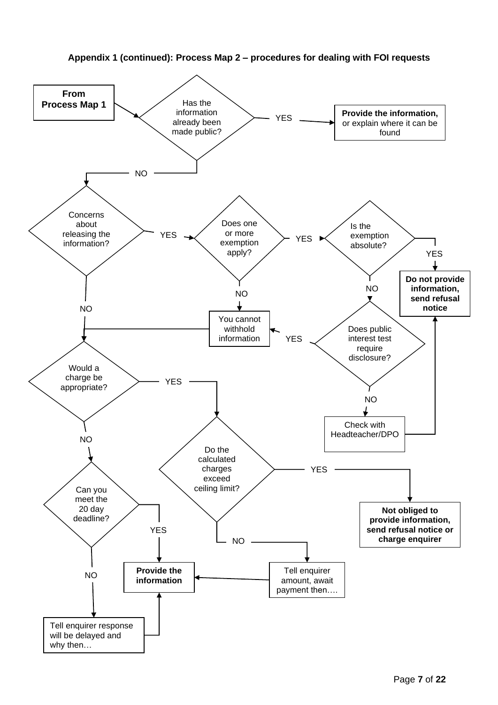

<span id="page-6-0"></span>**Appendix 1 (continued): Process Map 2 – procedures for dealing with FOI requests**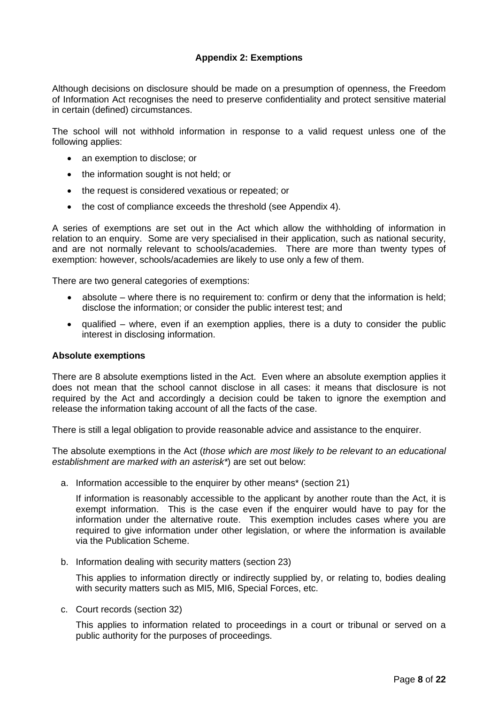## **Appendix 2: Exemptions**

<span id="page-7-0"></span>Although decisions on disclosure should be made on a presumption of openness, the Freedom of Information Act recognises the need to preserve confidentiality and protect sensitive material in certain (defined) circumstances.

The school will not withhold information in response to a valid request unless one of the following applies:

- an exemption to disclose; or
- the information sought is not held; or
- the request is considered vexatious or repeated; or
- the cost of compliance exceeds the threshold (see Appendix 4).

A series of exemptions are set out in the Act which allow the withholding of information in relation to an enquiry. Some are very specialised in their application, such as national security, and are not normally relevant to schools/academies. There are more than twenty types of exemption: however, schools/academies are likely to use only a few of them.

There are two general categories of exemptions:

- absolute where there is no requirement to: confirm or deny that the information is held; disclose the information; or consider the public interest test; and
- qualified where, even if an exemption applies, there is a duty to consider the public interest in disclosing information.

#### **Absolute exemptions**

There are 8 absolute exemptions listed in the Act. Even where an absolute exemption applies it does not mean that the school cannot disclose in all cases: it means that disclosure is not required by the Act and accordingly a decision could be taken to ignore the exemption and release the information taking account of all the facts of the case.

There is still a legal obligation to provide reasonable advice and assistance to the enquirer.

The absolute exemptions in the Act (*those which are most likely to be relevant to an educational establishment are marked with an asterisk\**) are set out below:

a. Information accessible to the enquirer by other means\* (section 21)

If information is reasonably accessible to the applicant by another route than the Act, it is exempt information. This is the case even if the enquirer would have to pay for the information under the alternative route. This exemption includes cases where you are required to give information under other legislation, or where the information is available via the Publication Scheme.

b. Information dealing with security matters (section 23)

This applies to information directly or indirectly supplied by, or relating to, bodies dealing with security matters such as MI5, MI6, Special Forces, etc.

c. Court records (section 32)

This applies to information related to proceedings in a court or tribunal or served on a public authority for the purposes of proceedings.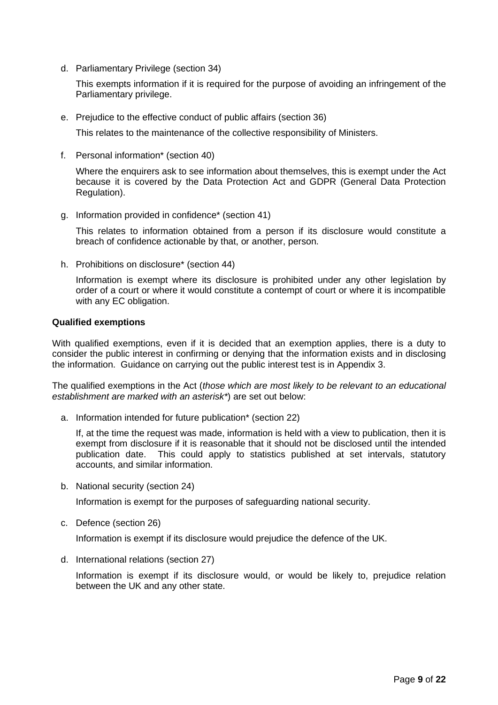d. Parliamentary Privilege (section 34)

This exempts information if it is required for the purpose of avoiding an infringement of the Parliamentary privilege.

e. Prejudice to the effective conduct of public affairs (section 36)

This relates to the maintenance of the collective responsibility of Ministers.

f. Personal information\* (section 40)

Where the enquirers ask to see information about themselves, this is exempt under the Act because it is covered by the Data Protection Act and GDPR (General Data Protection Regulation).

g. Information provided in confidence\* (section 41)

This relates to information obtained from a person if its disclosure would constitute a breach of confidence actionable by that, or another, person.

h. Prohibitions on disclosure\* (section 44)

Information is exempt where its disclosure is prohibited under any other legislation by order of a court or where it would constitute a contempt of court or where it is incompatible with any EC obligation.

#### **Qualified exemptions**

With qualified exemptions, even if it is decided that an exemption applies, there is a duty to consider the public interest in confirming or denying that the information exists and in disclosing the information. Guidance on carrying out the public interest test is in Appendix 3.

The qualified exemptions in the Act (*those which are most likely to be relevant to an educational establishment are marked with an asterisk\**) are set out below:

a. Information intended for future publication\* (section 22)

If, at the time the request was made, information is held with a view to publication, then it is exempt from disclosure if it is reasonable that it should not be disclosed until the intended publication date. This could apply to statistics published at set intervals, statutory accounts, and similar information.

b. National security (section 24)

Information is exempt for the purposes of safeguarding national security.

c. Defence (section 26)

Information is exempt if its disclosure would prejudice the defence of the UK.

d. International relations (section 27)

Information is exempt if its disclosure would, or would be likely to, prejudice relation between the UK and any other state.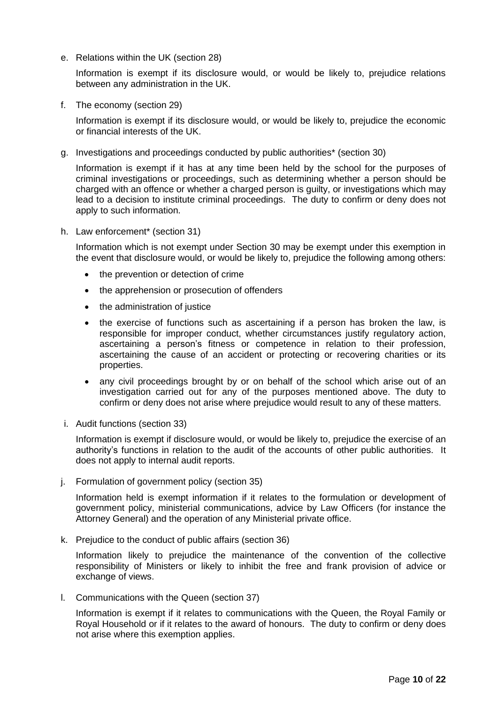e. Relations within the UK (section 28)

Information is exempt if its disclosure would, or would be likely to, prejudice relations between any administration in the UK.

f. The economy (section 29)

Information is exempt if its disclosure would, or would be likely to, prejudice the economic or financial interests of the UK.

g. Investigations and proceedings conducted by public authorities\* (section 30)

Information is exempt if it has at any time been held by the school for the purposes of criminal investigations or proceedings, such as determining whether a person should be charged with an offence or whether a charged person is guilty, or investigations which may lead to a decision to institute criminal proceedings. The duty to confirm or deny does not apply to such information.

h. Law enforcement\* (section 31)

Information which is not exempt under Section 30 may be exempt under this exemption in the event that disclosure would, or would be likely to, prejudice the following among others:

- the prevention or detection of crime
- the apprehension or prosecution of offenders
- the administration of justice
- the exercise of functions such as ascertaining if a person has broken the law, is responsible for improper conduct, whether circumstances justify regulatory action, ascertaining a person's fitness or competence in relation to their profession, ascertaining the cause of an accident or protecting or recovering charities or its properties.
- any civil proceedings brought by or on behalf of the school which arise out of an investigation carried out for any of the purposes mentioned above. The duty to confirm or deny does not arise where prejudice would result to any of these matters.
- i. Audit functions (section 33)

Information is exempt if disclosure would, or would be likely to, prejudice the exercise of an authority's functions in relation to the audit of the accounts of other public authorities. It does not apply to internal audit reports.

j. Formulation of government policy (section 35)

Information held is exempt information if it relates to the formulation or development of government policy, ministerial communications, advice by Law Officers (for instance the Attorney General) and the operation of any Ministerial private office.

k. Prejudice to the conduct of public affairs (section 36)

Information likely to prejudice the maintenance of the convention of the collective responsibility of Ministers or likely to inhibit the free and frank provision of advice or exchange of views.

l. Communications with the Queen (section 37)

Information is exempt if it relates to communications with the Queen, the Royal Family or Royal Household or if it relates to the award of honours. The duty to confirm or deny does not arise where this exemption applies.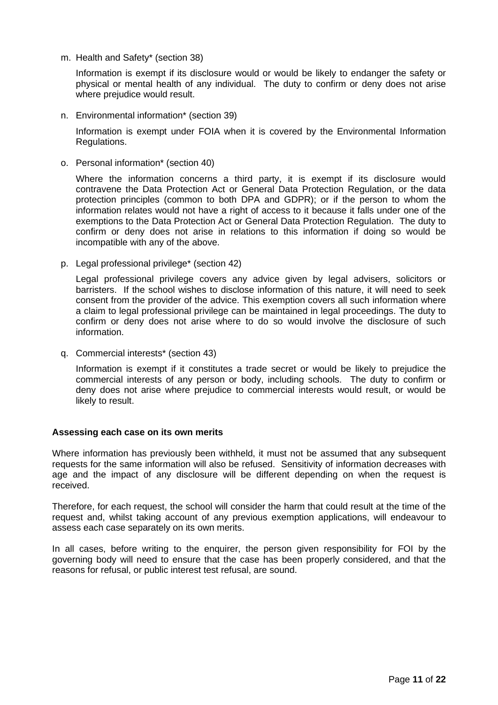m. Health and Safety\* (section 38)

Information is exempt if its disclosure would or would be likely to endanger the safety or physical or mental health of any individual. The duty to confirm or deny does not arise where prejudice would result.

n. Environmental information\* (section 39)

Information is exempt under FOIA when it is covered by the Environmental Information Regulations.

o. Personal information\* (section 40)

Where the information concerns a third party, it is exempt if its disclosure would contravene the Data Protection Act or General Data Protection Regulation, or the data protection principles (common to both DPA and GDPR); or if the person to whom the information relates would not have a right of access to it because it falls under one of the exemptions to the Data Protection Act or General Data Protection Regulation. The duty to confirm or deny does not arise in relations to this information if doing so would be incompatible with any of the above.

p. Legal professional privilege\* (section 42)

Legal professional privilege covers any advice given by legal advisers, solicitors or barristers. If the school wishes to disclose information of this nature, it will need to seek consent from the provider of the advice. This exemption covers all such information where a claim to legal professional privilege can be maintained in legal proceedings. The duty to confirm or deny does not arise where to do so would involve the disclosure of such information.

q. Commercial interests\* (section 43)

Information is exempt if it constitutes a trade secret or would be likely to prejudice the commercial interests of any person or body, including schools. The duty to confirm or deny does not arise where prejudice to commercial interests would result, or would be likely to result.

#### **Assessing each case on its own merits**

Where information has previously been withheld, it must not be assumed that any subsequent requests for the same information will also be refused. Sensitivity of information decreases with age and the impact of any disclosure will be different depending on when the request is received.

Therefore, for each request, the school will consider the harm that could result at the time of the request and, whilst taking account of any previous exemption applications, will endeavour to assess each case separately on its own merits.

In all cases, before writing to the enquirer, the person given responsibility for FOI by the governing body will need to ensure that the case has been properly considered, and that the reasons for refusal, or public interest test refusal, are sound.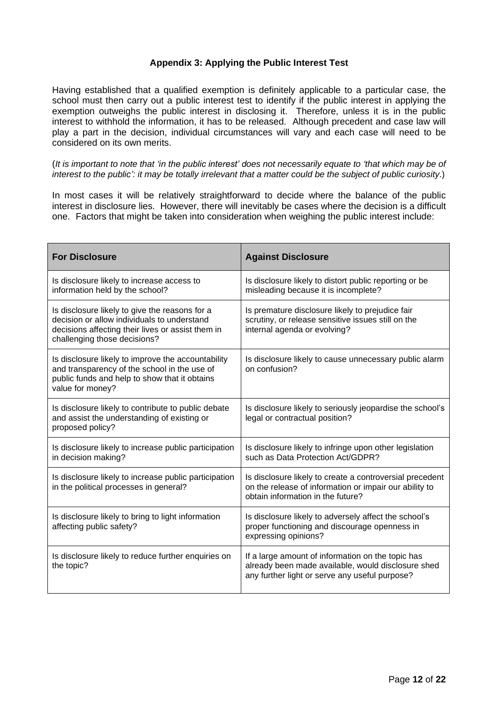## **Appendix 3: Applying the Public Interest Test**

<span id="page-11-0"></span>Having established that a qualified exemption is definitely applicable to a particular case, the school must then carry out a public interest test to identify if the public interest in applying the exemption outweighs the public interest in disclosing it. Therefore, unless it is in the public interest to withhold the information, it has to be released. Although precedent and case law will play a part in the decision, individual circumstances will vary and each case will need to be considered on its own merits.

(*It is important to note that 'in the public interest' does not necessarily equate to 'that which may be of interest to the public': it may be totally irrelevant that a matter could be the subject of public curiosity*.)

In most cases it will be relatively straightforward to decide where the balance of the public interest in disclosure lies. However, there will inevitably be cases where the decision is a difficult one. Factors that might be taken into consideration when weighing the public interest include:

| <b>For Disclosure</b>                                                                                                                                                              | <b>Against Disclosure</b>                                                                                                                                 |
|------------------------------------------------------------------------------------------------------------------------------------------------------------------------------------|-----------------------------------------------------------------------------------------------------------------------------------------------------------|
| Is disclosure likely to increase access to<br>information held by the school?                                                                                                      | Is disclosure likely to distort public reporting or be<br>misleading because it is incomplete?                                                            |
| Is disclosure likely to give the reasons for a<br>decision or allow individuals to understand<br>decisions affecting their lives or assist them in<br>challenging those decisions? | Is premature disclosure likely to prejudice fair<br>scrutiny, or release sensitive issues still on the<br>internal agenda or evolving?                    |
| Is disclosure likely to improve the accountability<br>and transparency of the school in the use of<br>public funds and help to show that it obtains<br>value for money?            | Is disclosure likely to cause unnecessary public alarm<br>on confusion?                                                                                   |
| Is disclosure likely to contribute to public debate<br>and assist the understanding of existing or<br>proposed policy?                                                             | Is disclosure likely to seriously jeopardise the school's<br>legal or contractual position?                                                               |
| Is disclosure likely to increase public participation<br>in decision making?                                                                                                       | Is disclosure likely to infringe upon other legislation<br>such as Data Protection Act/GDPR?                                                              |
| Is disclosure likely to increase public participation<br>in the political processes in general?                                                                                    | Is disclosure likely to create a controversial precedent<br>on the release of information or impair our ability to<br>obtain information in the future?   |
| Is disclosure likely to bring to light information<br>affecting public safety?                                                                                                     | Is disclosure likely to adversely affect the school's<br>proper functioning and discourage openness in<br>expressing opinions?                            |
| Is disclosure likely to reduce further enquiries on<br>the topic?                                                                                                                  | If a large amount of information on the topic has<br>already been made available, would disclosure shed<br>any further light or serve any useful purpose? |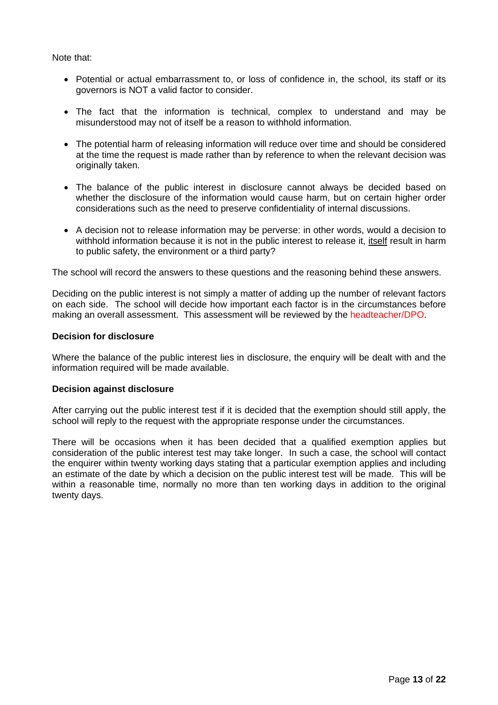Note that:

- Potential or actual embarrassment to, or loss of confidence in, the school, its staff or its governors is NOT a valid factor to consider.
- The fact that the information is technical, complex to understand and may be misunderstood may not of itself be a reason to withhold information.
- The potential harm of releasing information will reduce over time and should be considered at the time the request is made rather than by reference to when the relevant decision was originally taken.
- The balance of the public interest in disclosure cannot always be decided based on whether the disclosure of the information would cause harm, but on certain higher order considerations such as the need to preserve confidentiality of internal discussions.
- A decision not to release information may be perverse: in other words, would a decision to withhold information because it is not in the public interest to release it, itself result in harm to public safety, the environment or a third party?

The school will record the answers to these questions and the reasoning behind these answers.

Deciding on the public interest is not simply a matter of adding up the number of relevant factors on each side. The school will decide how important each factor is in the circumstances before making an overall assessment. This assessment will be reviewed by the headteacher/DPO.

#### **Decision for disclosure**

Where the balance of the public interest lies in disclosure, the enquiry will be dealt with and the information required will be made available.

#### **Decision against disclosure**

After carrying out the public interest test if it is decided that the exemption should still apply, the school will reply to the request with the appropriate response under the circumstances.

There will be occasions when it has been decided that a qualified exemption applies but consideration of the public interest test may take longer. In such a case, the school will contact the enquirer within twenty working days stating that a particular exemption applies and including an estimate of the date by which a decision on the public interest test will be made. This will be within a reasonable time, normally no more than ten working days in addition to the original twenty days.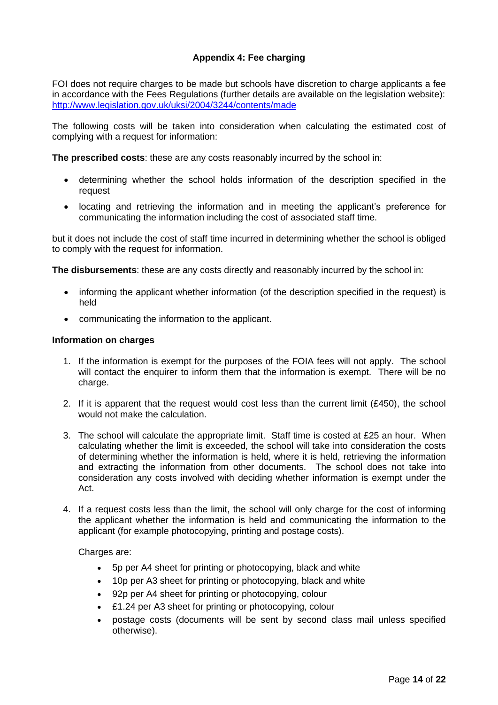## **Appendix 4: Fee charging**

<span id="page-13-0"></span>FOI does not require charges to be made but schools have discretion to charge applicants a fee in accordance with the Fees Regulations (further details are available on the legislation website): <http://www.legislation.gov.uk/uksi/2004/3244/contents/made>

The following costs will be taken into consideration when calculating the estimated cost of complying with a request for information:

**The prescribed costs**: these are any costs reasonably incurred by the school in:

- determining whether the school holds information of the description specified in the request
- locating and retrieving the information and in meeting the applicant's preference for communicating the information including the cost of associated staff time.

but it does not include the cost of staff time incurred in determining whether the school is obliged to comply with the request for information.

**The disbursements**: these are any costs directly and reasonably incurred by the school in:

- informing the applicant whether information (of the description specified in the request) is held
- communicating the information to the applicant.

#### **Information on charges**

- 1. If the information is exempt for the purposes of the FOIA fees will not apply. The school will contact the enquirer to inform them that the information is exempt. There will be no charge.
- 2. If it is apparent that the request would cost less than the current limit (£450), the school would not make the calculation.
- 3. The school will calculate the appropriate limit. Staff time is costed at £25 an hour. When calculating whether the limit is exceeded, the school will take into consideration the costs of determining whether the information is held, where it is held, retrieving the information and extracting the information from other documents. The school does not take into consideration any costs involved with deciding whether information is exempt under the Act.
- 4. If a request costs less than the limit, the school will only charge for the cost of informing the applicant whether the information is held and communicating the information to the applicant (for example photocopying, printing and postage costs).

Charges are:

- 5p per A4 sheet for printing or photocopying, black and white
- 10p per A3 sheet for printing or photocopying, black and white
- 92p per A4 sheet for printing or photocopying, colour
- £1.24 per A3 sheet for printing or photocopying, colour
- postage costs (documents will be sent by second class mail unless specified otherwise).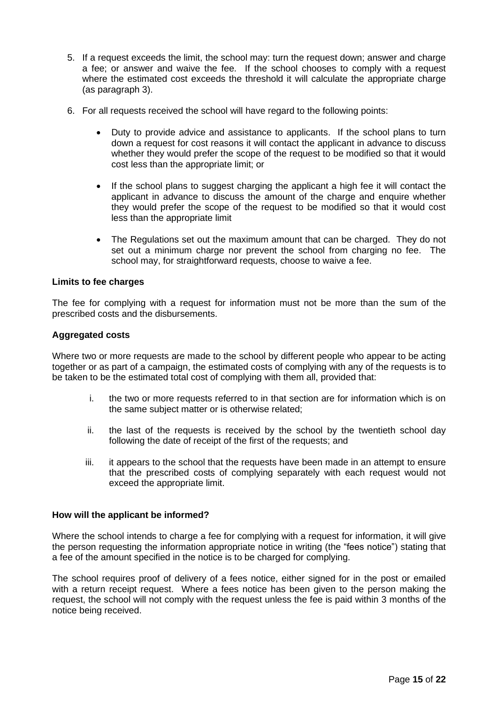- 5. If a request exceeds the limit, the school may: turn the request down; answer and charge a fee; or answer and waive the fee. If the school chooses to comply with a request where the estimated cost exceeds the threshold it will calculate the appropriate charge (as paragraph 3).
- 6. For all requests received the school will have regard to the following points:
	- Duty to provide advice and assistance to applicants. If the school plans to turn down a request for cost reasons it will contact the applicant in advance to discuss whether they would prefer the scope of the request to be modified so that it would cost less than the appropriate limit; or
	- If the school plans to suggest charging the applicant a high fee it will contact the applicant in advance to discuss the amount of the charge and enquire whether they would prefer the scope of the request to be modified so that it would cost less than the appropriate limit
	- The Regulations set out the maximum amount that can be charged. They do not set out a minimum charge nor prevent the school from charging no fee. The school may, for straightforward requests, choose to waive a fee.

#### **Limits to fee charges**

The fee for complying with a request for information must not be more than the sum of the prescribed costs and the disbursements.

#### **Aggregated costs**

Where two or more requests are made to the school by different people who appear to be acting together or as part of a campaign, the estimated costs of complying with any of the requests is to be taken to be the estimated total cost of complying with them all, provided that:

- i. the two or more requests referred to in that section are for information which is on the same subject matter or is otherwise related;
- ii. the last of the requests is received by the school by the twentieth school day following the date of receipt of the first of the requests; and
- iii. it appears to the school that the requests have been made in an attempt to ensure that the prescribed costs of complying separately with each request would not exceed the appropriate limit.

#### **How will the applicant be informed?**

Where the school intends to charge a fee for complying with a request for information, it will give the person requesting the information appropriate notice in writing (the "fees notice") stating that a fee of the amount specified in the notice is to be charged for complying.

The school requires proof of delivery of a fees notice, either signed for in the post or emailed with a return receipt request. Where a fees notice has been given to the person making the request, the school will not comply with the request unless the fee is paid within 3 months of the notice being received.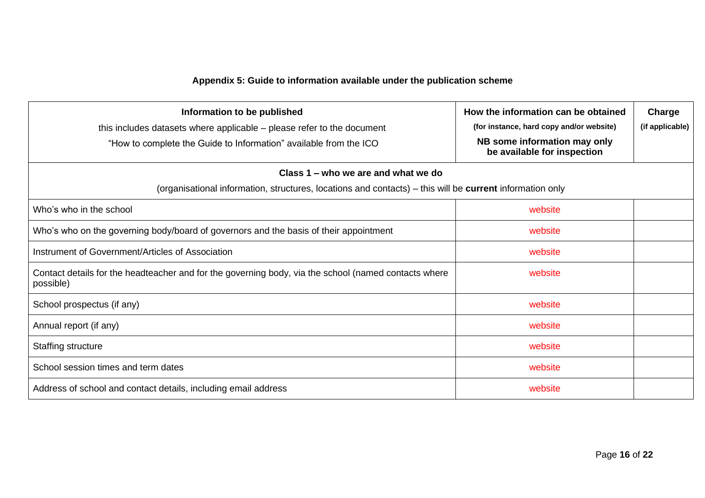# **Appendix 5: Guide to information available under the publication scheme**

<span id="page-15-0"></span>

| Information to be published<br>this includes datasets where applicable – please refer to the document<br>"How to complete the Guide to Information" available from the ICO | How the information can be obtained<br>(for instance, hard copy and/or website)<br>NB some information may only<br>be available for inspection | Charge<br>(if applicable) |
|----------------------------------------------------------------------------------------------------------------------------------------------------------------------------|------------------------------------------------------------------------------------------------------------------------------------------------|---------------------------|
| Class 1 – who we are and what we do<br>(organisational information, structures, locations and contacts) – this will be <b>current</b> information only                     |                                                                                                                                                |                           |
| Who's who in the school                                                                                                                                                    | website                                                                                                                                        |                           |
| Who's who on the governing body/board of governors and the basis of their appointment                                                                                      | website                                                                                                                                        |                           |
| Instrument of Government/Articles of Association                                                                                                                           | website                                                                                                                                        |                           |
| Contact details for the headteacher and for the governing body, via the school (named contacts where<br>possible)                                                          | website                                                                                                                                        |                           |
| School prospectus (if any)                                                                                                                                                 | website                                                                                                                                        |                           |
| Annual report (if any)                                                                                                                                                     | website                                                                                                                                        |                           |
| Staffing structure                                                                                                                                                         | website                                                                                                                                        |                           |
| School session times and term dates                                                                                                                                        | website                                                                                                                                        |                           |
| Address of school and contact details, including email address                                                                                                             | website                                                                                                                                        |                           |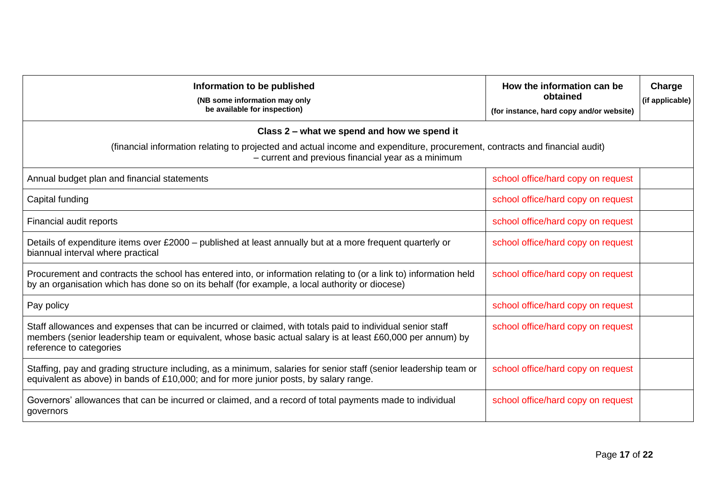| Information to be published<br>(NB some information may only<br>be available for inspection)                                                                                                                                                        | How the information can be<br>obtained<br>(for instance, hard copy and/or website) | Charge<br>(if applicable) |
|-----------------------------------------------------------------------------------------------------------------------------------------------------------------------------------------------------------------------------------------------------|------------------------------------------------------------------------------------|---------------------------|
| Class 2 – what we spend and how we spend it                                                                                                                                                                                                         |                                                                                    |                           |
| (financial information relating to projected and actual income and expenditure, procurement, contracts and financial audit)<br>- current and previous financial year as a minimum                                                                   |                                                                                    |                           |
| Annual budget plan and financial statements                                                                                                                                                                                                         | school office/hard copy on request                                                 |                           |
| Capital funding                                                                                                                                                                                                                                     | school office/hard copy on request                                                 |                           |
| Financial audit reports                                                                                                                                                                                                                             | school office/hard copy on request                                                 |                           |
| Details of expenditure items over £2000 - published at least annually but at a more frequent quarterly or<br>biannual interval where practical                                                                                                      | school office/hard copy on request                                                 |                           |
| Procurement and contracts the school has entered into, or information relating to (or a link to) information held<br>by an organisation which has done so on its behalf (for example, a local authority or diocese)                                 | school office/hard copy on request                                                 |                           |
| Pay policy                                                                                                                                                                                                                                          | school office/hard copy on request                                                 |                           |
| Staff allowances and expenses that can be incurred or claimed, with totals paid to individual senior staff<br>members (senior leadership team or equivalent, whose basic actual salary is at least £60,000 per annum) by<br>reference to categories | school office/hard copy on request                                                 |                           |
| Staffing, pay and grading structure including, as a minimum, salaries for senior staff (senior leadership team or<br>equivalent as above) in bands of £10,000; and for more junior posts, by salary range.                                          | school office/hard copy on request                                                 |                           |
| Governors' allowances that can be incurred or claimed, and a record of total payments made to individual<br>governors                                                                                                                               | school office/hard copy on request                                                 |                           |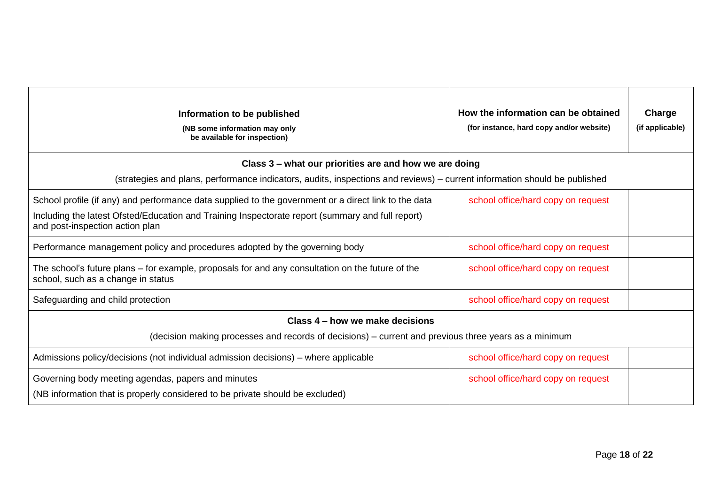| Information to be published<br>(NB some information may only<br>be available for inspection)                                                                                                                                                | How the information can be obtained<br>(for instance, hard copy and/or website) | Charge<br>(if applicable) |
|---------------------------------------------------------------------------------------------------------------------------------------------------------------------------------------------------------------------------------------------|---------------------------------------------------------------------------------|---------------------------|
| Class 3 – what our priorities are and how we are doing                                                                                                                                                                                      |                                                                                 |                           |
| (strategies and plans, performance indicators, audits, inspections and reviews) – current information should be published                                                                                                                   |                                                                                 |                           |
| School profile (if any) and performance data supplied to the government or a direct link to the data<br>Including the latest Ofsted/Education and Training Inspectorate report (summary and full report)<br>and post-inspection action plan | school office/hard copy on request                                              |                           |
| Performance management policy and procedures adopted by the governing body                                                                                                                                                                  | school office/hard copy on request                                              |                           |
| The school's future plans – for example, proposals for and any consultation on the future of the<br>school, such as a change in status                                                                                                      | school office/hard copy on request                                              |                           |
| Safeguarding and child protection                                                                                                                                                                                                           | school office/hard copy on request                                              |                           |
| Class 4 – how we make decisions                                                                                                                                                                                                             |                                                                                 |                           |
| (decision making processes and records of decisions) – current and previous three years as a minimum                                                                                                                                        |                                                                                 |                           |
| Admissions policy/decisions (not individual admission decisions) – where applicable                                                                                                                                                         | school office/hard copy on request                                              |                           |
| Governing body meeting agendas, papers and minutes<br>(NB information that is properly considered to be private should be excluded)                                                                                                         | school office/hard copy on request                                              |                           |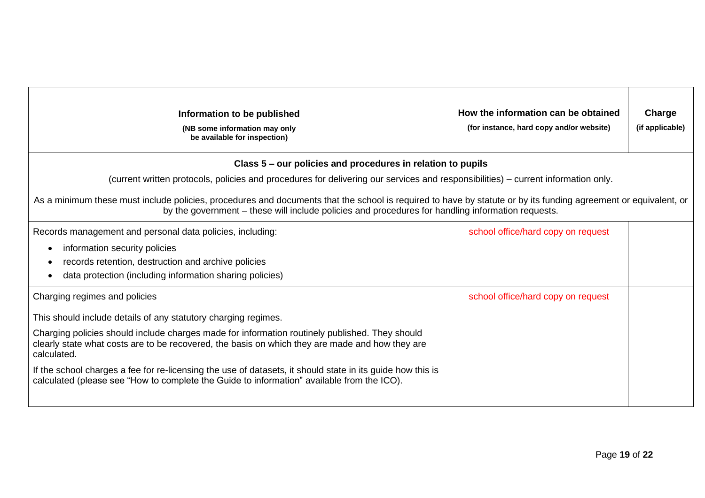| Information to be published<br>(NB some information may only<br>be available for inspection)                                                                                                                                                                         | How the information can be obtained<br>(for instance, hard copy and/or website) | Charge<br>(if applicable) |
|----------------------------------------------------------------------------------------------------------------------------------------------------------------------------------------------------------------------------------------------------------------------|---------------------------------------------------------------------------------|---------------------------|
| Class 5 – our policies and procedures in relation to pupils                                                                                                                                                                                                          |                                                                                 |                           |
| (current written protocols, policies and procedures for delivering our services and responsibilities) – current information only.                                                                                                                                    |                                                                                 |                           |
| As a minimum these must include policies, procedures and documents that the school is required to have by statute or by its funding agreement or equivalent, or<br>by the government – these will include policies and procedures for handling information requests. |                                                                                 |                           |
| Records management and personal data policies, including:                                                                                                                                                                                                            | school office/hard copy on request                                              |                           |
| information security policies<br>$\bullet$                                                                                                                                                                                                                           |                                                                                 |                           |
| records retention, destruction and archive policies<br>$\bullet$                                                                                                                                                                                                     |                                                                                 |                           |
| data protection (including information sharing policies)                                                                                                                                                                                                             |                                                                                 |                           |
| Charging regimes and policies                                                                                                                                                                                                                                        | school office/hard copy on request                                              |                           |
| This should include details of any statutory charging regimes.                                                                                                                                                                                                       |                                                                                 |                           |
| Charging policies should include charges made for information routinely published. They should<br>clearly state what costs are to be recovered, the basis on which they are made and how they are<br>calculated.                                                     |                                                                                 |                           |
| If the school charges a fee for re-licensing the use of datasets, it should state in its guide how this is<br>calculated (please see "How to complete the Guide to information" available from the ICO).                                                             |                                                                                 |                           |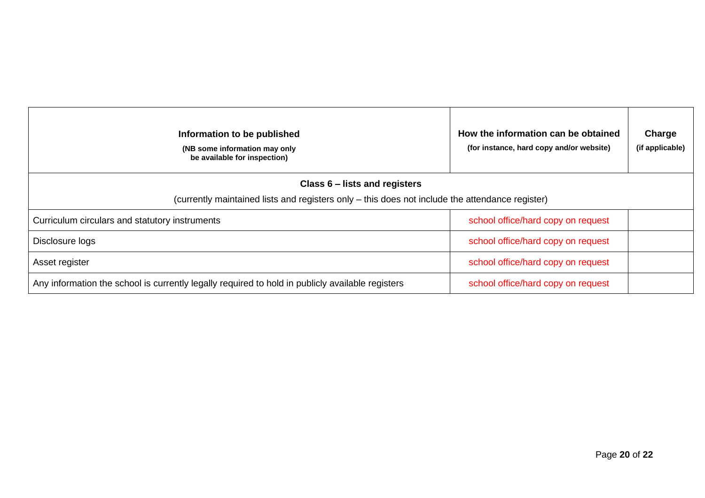| Information to be published<br>(NB some information may only<br>be available for inspection)     | How the information can be obtained<br>(for instance, hard copy and/or website) | Charge<br>(if applicable) |
|--------------------------------------------------------------------------------------------------|---------------------------------------------------------------------------------|---------------------------|
| Class 6 – lists and registers                                                                    |                                                                                 |                           |
| (currently maintained lists and registers only – this does not include the attendance register)  |                                                                                 |                           |
| Curriculum circulars and statutory instruments                                                   | school office/hard copy on request                                              |                           |
| Disclosure logs                                                                                  | school office/hard copy on request                                              |                           |
| Asset register                                                                                   | school office/hard copy on request                                              |                           |
| Any information the school is currently legally required to hold in publicly available registers | school office/hard copy on request                                              |                           |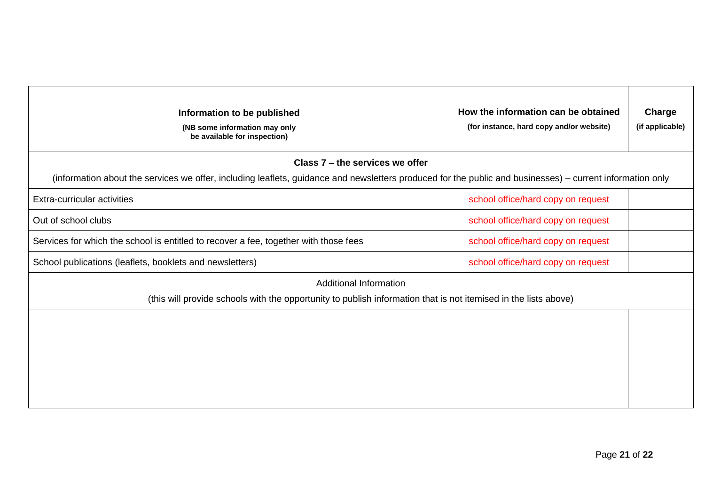| Information to be published<br>(NB some information may only<br>be available for inspection)                                                              | How the information can be obtained<br>(for instance, hard copy and/or website) | Charge<br>(if applicable) |
|-----------------------------------------------------------------------------------------------------------------------------------------------------------|---------------------------------------------------------------------------------|---------------------------|
| Class 7 – the services we offer                                                                                                                           |                                                                                 |                           |
| (information about the services we offer, including leaflets, guidance and newsletters produced for the public and businesses) – current information only |                                                                                 |                           |
| Extra-curricular activities                                                                                                                               | school office/hard copy on request                                              |                           |
| Out of school clubs                                                                                                                                       | school office/hard copy on request                                              |                           |
| Services for which the school is entitled to recover a fee, together with those fees                                                                      | school office/hard copy on request                                              |                           |
| School publications (leaflets, booklets and newsletters)                                                                                                  | school office/hard copy on request                                              |                           |
| <b>Additional Information</b><br>(this will provide schools with the opportunity to publish information that is not itemised in the lists above)          |                                                                                 |                           |
|                                                                                                                                                           |                                                                                 |                           |